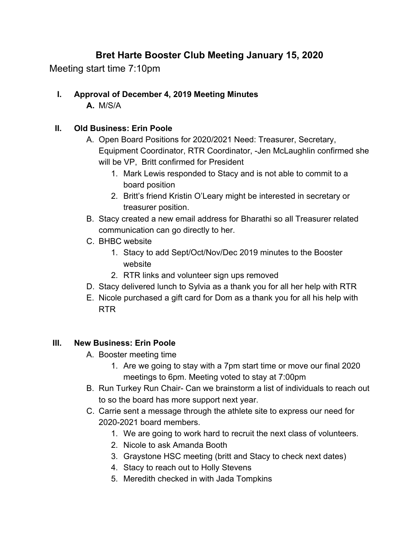# **Bret Harte Booster Club Meeting January 15, 2020**

Meeting start time 7:10pm

**I. Approval of December 4, 2019 Meeting Minutes A.** M/S/A

#### **II. Old Business: Erin Poole**

- A. Open Board Positions for 2020/2021 Need: Treasurer, Secretary, Equipment Coordinator, RTR Coordinator, -Jen McLaughlin confirmed she will be VP, Britt confirmed for President
	- 1. Mark Lewis responded to Stacy and is not able to commit to a board position
	- 2. Britt's friend Kristin O'Leary might be interested in secretary or treasurer position.
- B. Stacy created a new email address for Bharathi so all Treasurer related communication can go directly to her.
- C. BHBC website
	- 1. Stacy to add Sept/Oct/Nov/Dec 2019 minutes to the Booster website
	- 2. RTR links and volunteer sign ups removed
- D. Stacy delivered lunch to Sylvia as a thank you for all her help with RTR
- E. Nicole purchased a gift card for Dom as a thank you for all his help with RTR

#### **III. New Business: Erin Poole**

- A. Booster meeting time
	- 1. Are we going to stay with a 7pm start time or move our final 2020 meetings to 6pm. Meeting voted to stay at 7:00pm
- B. Run Turkey Run Chair- Can we brainstorm a list of individuals to reach out to so the board has more support next year.
- C. Carrie sent a message through the athlete site to express our need for 2020-2021 board members.
	- 1. We are going to work hard to recruit the next class of volunteers.
	- 2. Nicole to ask Amanda Booth
	- 3. Graystone HSC meeting (britt and Stacy to check next dates)
	- 4. Stacy to reach out to Holly Stevens
	- 5. Meredith checked in with Jada Tompkins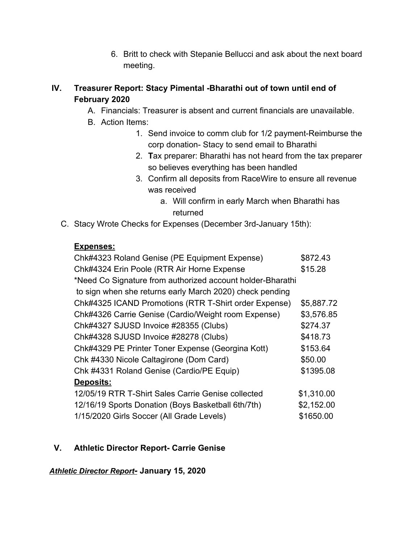6. Britt to check with Stepanie Bellucci and ask about the next board meeting.

## **IV. Treasurer Report: Stacy Pimental -Bharathi out of town until end of February 2020**

- A. Financials: Treasurer is absent and current financials are unavailable.
- B. Action Items:
	- 1. Send invoice to comm club for 1/2 payment-Reimburse the corp donation- Stacy to send email to Bharathi
	- 2. **T**ax preparer: Bharathi has not heard from the tax preparer so believes everything has been handled
	- 3. Confirm all deposits from RaceWire to ensure all revenue was received
		- a. Will confirm in early March when Bharathi has returned
- C. Stacy Wrote Checks for Expenses (December 3rd-January 15th):

## **Expenses:**

| Chk#4323 Roland Genise (PE Equipment Expense)              | \$872.43   |
|------------------------------------------------------------|------------|
| Chk#4324 Erin Poole (RTR Air Horne Expense                 | \$15.28    |
| *Need Co Signature from authorized account holder-Bharathi |            |
| to sign when she returns early March 2020) check pending   |            |
| Chk#4325 ICAND Promotions (RTR T-Shirt order Expense)      | \$5,887.72 |
| Chk#4326 Carrie Genise (Cardio/Weight room Expense)        | \$3,576.85 |
| Chk#4327 SJUSD Invoice #28355 (Clubs)                      | \$274.37   |
| Chk#4328 SJUSD Invoice #28278 (Clubs)                      | \$418.73   |
| Chk#4329 PE Printer Toner Expense (Georgina Kott)          | \$153.64   |
| Chk #4330 Nicole Caltagirone (Dom Card)                    | \$50.00    |
| Chk #4331 Roland Genise (Cardio/PE Equip)                  | \$1395.08  |
| Deposits:                                                  |            |
| 12/05/19 RTR T-Shirt Sales Carrie Genise collected         | \$1,310.00 |
| 12/16/19 Sports Donation (Boys Basketball 6th/7th)         | \$2,152.00 |
| 1/15/2020 Girls Soccer (All Grade Levels)                  | \$1650.00  |

# **V. Athletic Director Report- Carrie Genise**

*Athletic Director Report-* **January 15, 2020**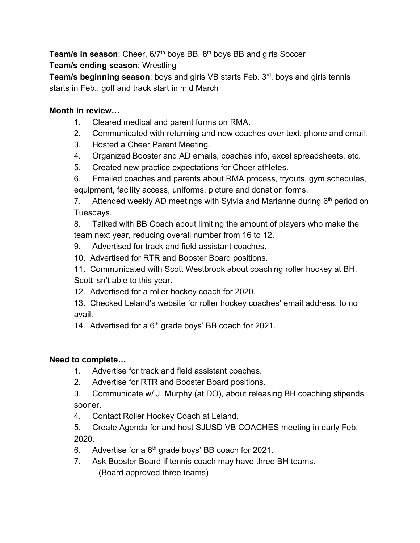Team/s in season: Cheer, 6/7<sup>th</sup> boys BB, 8<sup>th</sup> boys BB and girls Soccer **Team/s ending season**: Wrestling

**Team/s beginning season**: boys and girls VB starts Feb. 3rd , boys and girls tennis starts in Feb., golf and track start in mid March

## **Month in review…**

- 1. Cleared medical and parent forms on RMA.
- 2. Communicated with returning and new coaches over text, phone and email.
- 3. Hosted a Cheer Parent Meeting.
- 4. Organized Booster and AD emails, coaches info, excel spreadsheets, etc.
- 5. Created new practice expectations for Cheer athletes.

6. Emailed coaches and parents about RMA process, tryouts, gym schedules, equipment, facility access, uniforms, picture and donation forms.

7. Attended weekly AD meetings with Sylvia and Marianne during  $6<sup>th</sup>$  period on Tuesdays.

8. Talked with BB Coach about limiting the amount of players who make the team next year, reducing overall number from 16 to 12.

- 9. Advertised for track and field assistant coaches.
- 10. Advertised for RTR and Booster Board positions.

11. Communicated with Scott Westbrook about coaching roller hockey at BH. Scott isn't able to this year.

- 12. Advertised for a roller hockey coach for 2020.
- 13. Checked Leland's website for roller hockey coaches' email address, to no avail.

14. Advertised for a  $6<sup>th</sup>$  grade boys' BB coach for 2021.

#### **Need to complete…**

- 1. Advertise for track and field assistant coaches.
- 2. Advertise for RTR and Booster Board positions.
- 3. Communicate w/ J. Murphy (at DO), about releasing BH coaching stipends sooner.
- 4. Contact Roller Hockey Coach at Leland.
- 5. Create Agenda for and host SJUSD VB COACHES meeting in early Feb. 2020.
- 6. Advertise for a  $6<sup>th</sup>$  grade boys' BB coach for 2021.
- 7. Ask Booster Board if tennis coach may have three BH teams. (Board approved three teams)